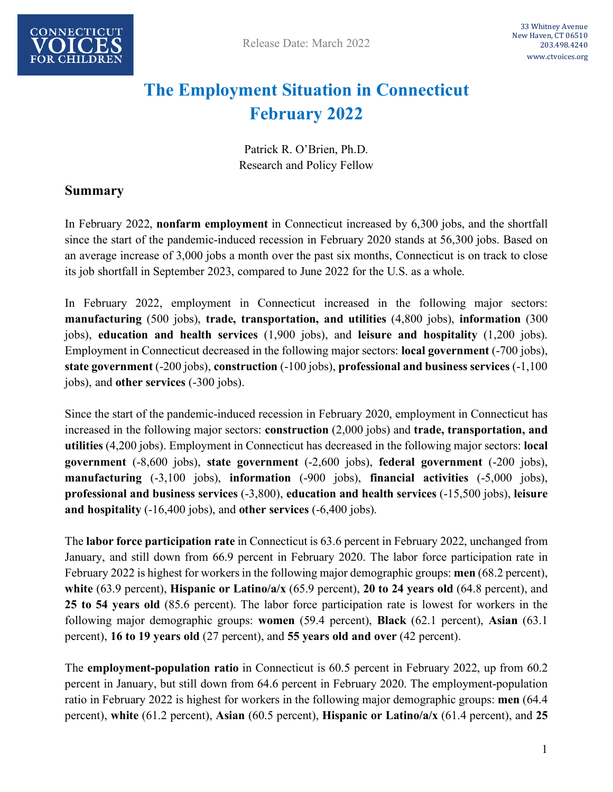

## **The Employment Situation in Connecticut February 2022**

Patrick R. O'Brien, Ph.D. Research and Policy Fellow

### **Summary**

In February 2022, **nonfarm employment** in Connecticut increased by 6,300 jobs, and the shortfall since the start of the pandemic-induced recession in February 2020 stands at 56,300 jobs. Based on an average increase of 3,000 jobs a month over the past six months, Connecticut is on track to close its job shortfall in September 2023, compared to June 2022 for the U.S. as a whole.

In February 2022, employment in Connecticut increased in the following major sectors: **manufacturing** (500 jobs), **trade, transportation, and utilities** (4,800 jobs), **information** (300 jobs), **education and health services** (1,900 jobs), and **leisure and hospitality** (1,200 jobs). Employment in Connecticut decreased in the following major sectors: **local government** (-700 jobs), **state government** (-200 jobs), **construction** (-100 jobs), **professional and business services** (-1,100 jobs), and **other services** (-300 jobs).

Since the start of the pandemic-induced recession in February 2020, employment in Connecticut has increased in the following major sectors: **construction** (2,000 jobs) and **trade, transportation, and utilities** (4,200 jobs). Employment in Connecticut has decreased in the following major sectors: **local government** (-8,600 jobs), **state government** (-2,600 jobs), **federal government** (-200 jobs), **manufacturing** (-3,100 jobs), **information** (-900 jobs), **financial activities** (-5,000 jobs), **professional and business services** (-3,800), **education and health services** (-15,500 jobs), **leisure and hospitality** (-16,400 jobs), and **other services** (-6,400 jobs).

The **labor force participation rate** in Connecticut is 63.6 percent in February 2022, unchanged from January, and still down from 66.9 percent in February 2020. The labor force participation rate in February 2022 is highest for workers in the following major demographic groups: **men** (68.2 percent), **white** (63.9 percent), **Hispanic or Latino/a/x** (65.9 percent), **20 to 24 years old** (64.8 percent), and **25 to 54 years old** (85.6 percent). The labor force participation rate is lowest for workers in the following major demographic groups: **women** (59.4 percent), **Black** (62.1 percent), **Asian** (63.1 percent), **16 to 19 years old** (27 percent), and **55 years old and over** (42 percent).

The **employment-population ratio** in Connecticut is 60.5 percent in February 2022, up from 60.2 percent in January, but still down from 64.6 percent in February 2020. The employment-population ratio in February 2022 is highest for workers in the following major demographic groups: **men** (64.4 percent), **white** (61.2 percent), **Asian** (60.5 percent), **Hispanic or Latino/a/x** (61.4 percent), and **25**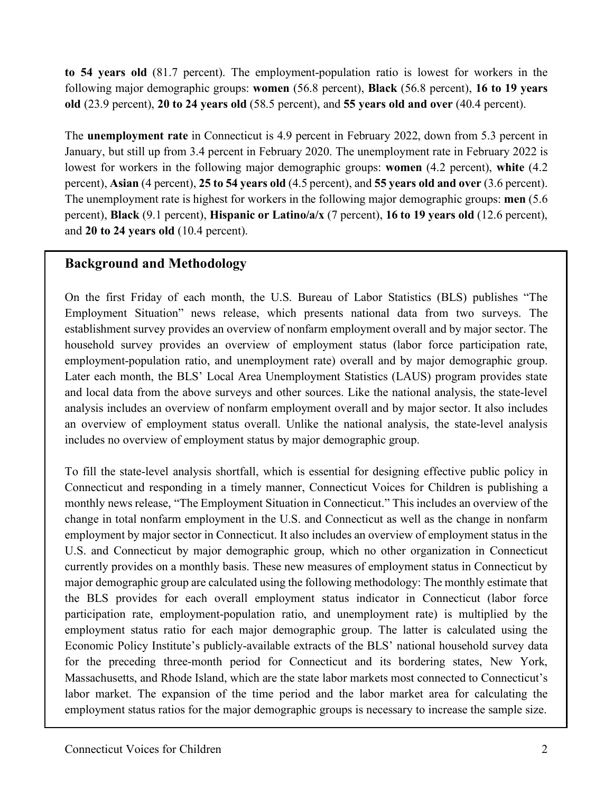**to 54 years old** (81.7 percent). The employment-population ratio is lowest for workers in the following major demographic groups: **women** (56.8 percent), **Black** (56.8 percent), **16 to 19 years old** (23.9 percent), **20 to 24 years old** (58.5 percent), and **55 years old and over** (40.4 percent).

The **unemployment rate** in Connecticut is 4.9 percent in February 2022, down from 5.3 percent in January, but still up from 3.4 percent in February 2020. The unemployment rate in February 2022 is lowest for workers in the following major demographic groups: **women** (4.2 percent), **white** (4.2 percent), **Asian** (4 percent), **25 to 54 years old** (4.5 percent), and **55 years old and over** (3.6 percent). The unemployment rate is highest for workers in the following major demographic groups: **men** (5.6 percent), **Black** (9.1 percent), **Hispanic or Latino/a/x** (7 percent), **16 to 19 years old** (12.6 percent), and **20 to 24 years old** (10.4 percent).

### **Background and Methodology**

On the first Friday of each month, the U.S. Bureau of Labor Statistics (BLS) publishes "The Employment Situation" news release, which presents national data from two surveys. The establishment survey provides an overview of nonfarm employment overall and by major sector. The household survey provides an overview of employment status (labor force participation rate, employment-population ratio, and unemployment rate) overall and by major demographic group. Later each month, the BLS' Local Area Unemployment Statistics (LAUS) program provides state and local data from the above surveys and other sources. Like the national analysis, the state-level analysis includes an overview of nonfarm employment overall and by major sector. It also includes an overview of employment status overall. Unlike the national analysis, the state-level analysis includes no overview of employment status by major demographic group.

To fill the state-level analysis shortfall, which is essential for designing effective public policy in Connecticut and responding in a timely manner, Connecticut Voices for Children is publishing a monthly news release, "The Employment Situation in Connecticut." This includes an overview of the change in total nonfarm employment in the U.S. and Connecticut as well as the change in nonfarm employment by major sector in Connecticut. It also includes an overview of employment status in the U.S. and Connecticut by major demographic group, which no other organization in Connecticut currently provides on a monthly basis. These new measures of employment status in Connecticut by major demographic group are calculated using the following methodology: The monthly estimate that the BLS provides for each overall employment status indicator in Connecticut (labor force participation rate, employment-population ratio, and unemployment rate) is multiplied by the employment status ratio for each major demographic group. The latter is calculated using the Economic Policy Institute's publicly-available extracts of the BLS' national household survey data for the preceding three-month period for Connecticut and its bordering states, New York, Massachusetts, and Rhode Island, which are the state labor markets most connected to Connecticut's labor market. The expansion of the time period and the labor market area for calculating the employment status ratios for the major demographic groups is necessary to increase the sample size.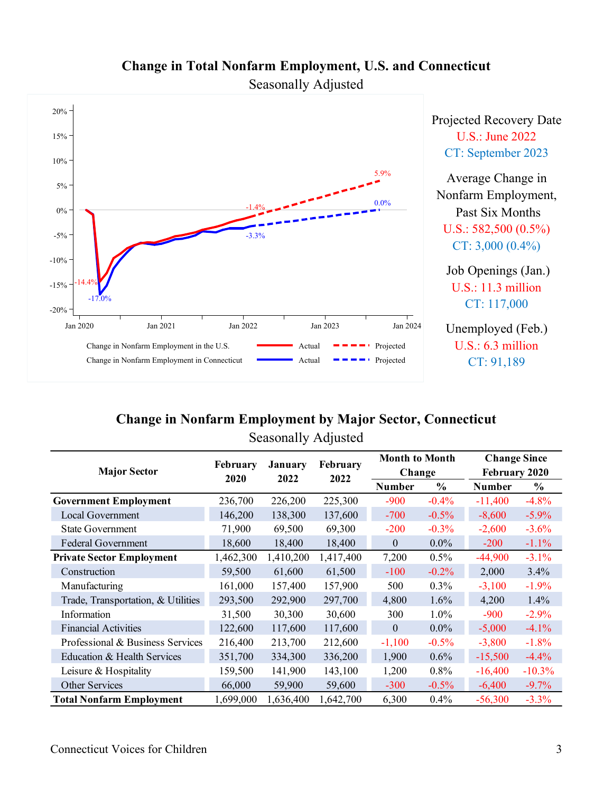

# **Change in Total Nonfarm Employment, U.S. and Connecticut**

Seasonally Adjusted

### **Change in Nonfarm Employment by Major Sector, Connecticut** Seasonally Adjusted

| <b>Major Sector</b>                | <b>February</b><br>2020 | January<br>2022 | <b>February</b><br>2022 | <b>Month to Month</b> |          | <b>Change Since</b> |          |
|------------------------------------|-------------------------|-----------------|-------------------------|-----------------------|----------|---------------------|----------|
|                                    |                         |                 |                         | Change                |          | February 2020       |          |
|                                    |                         |                 |                         | <b>Number</b>         | $\%$     | <b>Number</b>       | $\%$     |
| <b>Government Employment</b>       | 236,700                 | 226,200         | 225,300                 | $-900$                | $-0.4\%$ | $-11,400$           | $-4.8%$  |
| Local Government                   | 146,200                 | 138,300         | 137,600                 | $-700$                | $-0.5%$  | $-8,600$            | $-5.9\%$ |
| <b>State Government</b>            | 71,900                  | 69,500          | 69,300                  | $-200$                | $-0.3%$  | $-2,600$            | $-3.6%$  |
| <b>Federal Government</b>          | 18,600                  | 18,400          | 18,400                  | $\mathbf{0}$          | $0.0\%$  | $-200$              | $-1.1%$  |
| <b>Private Sector Employment</b>   | 1,462,300               | 1,410,200       | 1,417,400               | 7,200                 | $0.5\%$  | $-44,900$           | $-3.1%$  |
| Construction                       | 59,500                  | 61,600          | 61,500                  | $-100$                | $-0.2%$  | 2,000               | 3.4%     |
| Manufacturing                      | 161,000                 | 157,400         | 157,900                 | 500                   | $0.3\%$  | $-3,100$            | $-1.9%$  |
| Trade, Transportation, & Utilities | 293,500                 | 292,900         | 297,700                 | 4,800                 | 1.6%     | 4,200               | 1.4%     |
| Information                        | 31,500                  | 30,300          | 30,600                  | 300                   | $1.0\%$  | $-900$              | $-2.9%$  |
| <b>Financial Activities</b>        | 122,600                 | 117,600         | 117,600                 | $\mathbf{0}$          | $0.0\%$  | $-5,000$            | $-4.1%$  |
| Professional & Business Services   | 216,400                 | 213,700         | 212,600                 | $-1,100$              | $-0.5%$  | $-3,800$            | $-1.8%$  |
| Education & Health Services        | 351,700                 | 334,300         | 336,200                 | 1,900                 | $0.6\%$  | $-15,500$           | $-4.4%$  |
| Leisure $&$ Hospitality            | 159,500                 | 141,900         | 143,100                 | 1,200                 | 0.8%     | $-16,400$           | $-10.3%$ |
| Other Services                     | 66,000                  | 59,900          | 59,600                  | $-300$                | $-0.5\%$ | $-6,400$            | $-9.7\%$ |
| <b>Total Nonfarm Employment</b>    | 1,699,000               | 1,636,400       | 1,642,700               | 6,300                 | 0.4%     | $-56,300$           | $-3.3%$  |